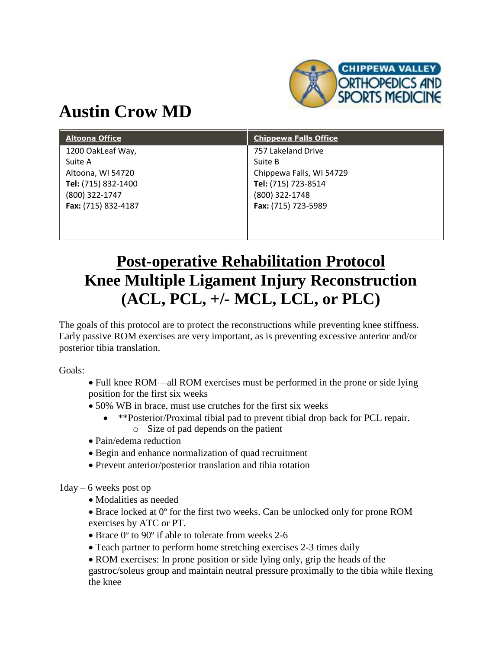

## **Austin Crow MD**

| <b>Altoona Office</b> | <b>Chippewa Falls Office</b> |
|-----------------------|------------------------------|
| 1200 OakLeaf Way,     | 757 Lakeland Drive           |
| Suite A               | Suite B                      |
| Altoona, WI 54720     | Chippewa Falls, WI 54729     |
| Tel: (715) 832-1400   | Tel: (715) 723-8514          |
| (800) 322-1747        | (800) 322-1748               |
| Fax: (715) 832-4187   | Fax: (715) 723-5989          |
|                       |                              |
|                       |                              |

## **Post-operative Rehabilitation Protocol Knee Multiple Ligament Injury Reconstruction (ACL, PCL, +/- MCL, LCL, or PLC)**

The goals of this protocol are to protect the reconstructions while preventing knee stiffness. Early passive ROM exercises are very important, as is preventing excessive anterior and/or posterior tibia translation.

Goals:

- Full knee ROM—all ROM exercises must be performed in the prone or side lying position for the first six weeks
- 50% WB in brace, must use crutches for the first six weeks
	- \*\*Posterior/Proximal tibial pad to prevent tibial drop back for PCL repair. o Size of pad depends on the patient
- Pain/edema reduction
- Begin and enhance normalization of quad recruitment
- Prevent anterior/posterior translation and tibia rotation

1day – 6 weeks post op

- Modalities as needed
- Brace locked at 0º for the first two weeks. Can be unlocked only for prone ROM exercises by ATC or PT.
- Brace 0<sup>o</sup> to 90<sup>o</sup> if able to tolerate from weeks 2-6
- Teach partner to perform home stretching exercises 2-3 times daily

• ROM exercises: In prone position or side lying only, grip the heads of the gastroc/soleus group and maintain neutral pressure proximally to the tibia while flexing the knee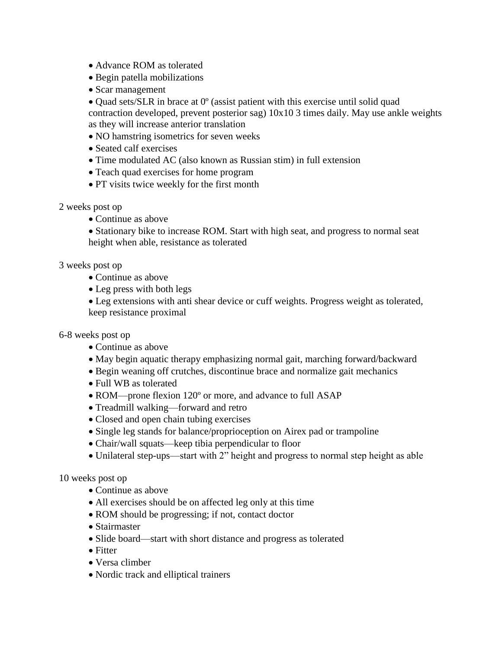- Advance ROM as tolerated
- Begin patella mobilizations
- Scar management
- Quad sets/SLR in brace at 0º (assist patient with this exercise until solid quad contraction developed, prevent posterior sag) 10x10 3 times daily. May use ankle weights as they will increase anterior translation
- NO hamstring isometrics for seven weeks
- Seated calf exercises
- Time modulated AC (also known as Russian stim) in full extension
- Teach quad exercises for home program
- PT visits twice weekly for the first month
- 2 weeks post op
	- Continue as above

• Stationary bike to increase ROM. Start with high seat, and progress to normal seat height when able, resistance as tolerated

## 3 weeks post op

- Continue as above
- Leg press with both legs

 Leg extensions with anti shear device or cuff weights. Progress weight as tolerated, keep resistance proximal

- 6-8 weeks post op
	- Continue as above
	- May begin aquatic therapy emphasizing normal gait, marching forward/backward
	- Begin weaning off crutches, discontinue brace and normalize gait mechanics
	- Full WB as tolerated
	- ROM—prone flexion 120° or more, and advance to full ASAP
	- Treadmill walking—forward and retro
	- Closed and open chain tubing exercises
	- Single leg stands for balance/proprioception on Airex pad or trampoline
	- Chair/wall squats—keep tibia perpendicular to floor
	- Unilateral step-ups—start with 2" height and progress to normal step height as able

10 weeks post op

- Continue as above
- All exercises should be on affected leg only at this time
- ROM should be progressing; if not, contact doctor
- Stairmaster
- Slide board—start with short distance and progress as tolerated
- Fitter
- Versa climber
- Nordic track and elliptical trainers